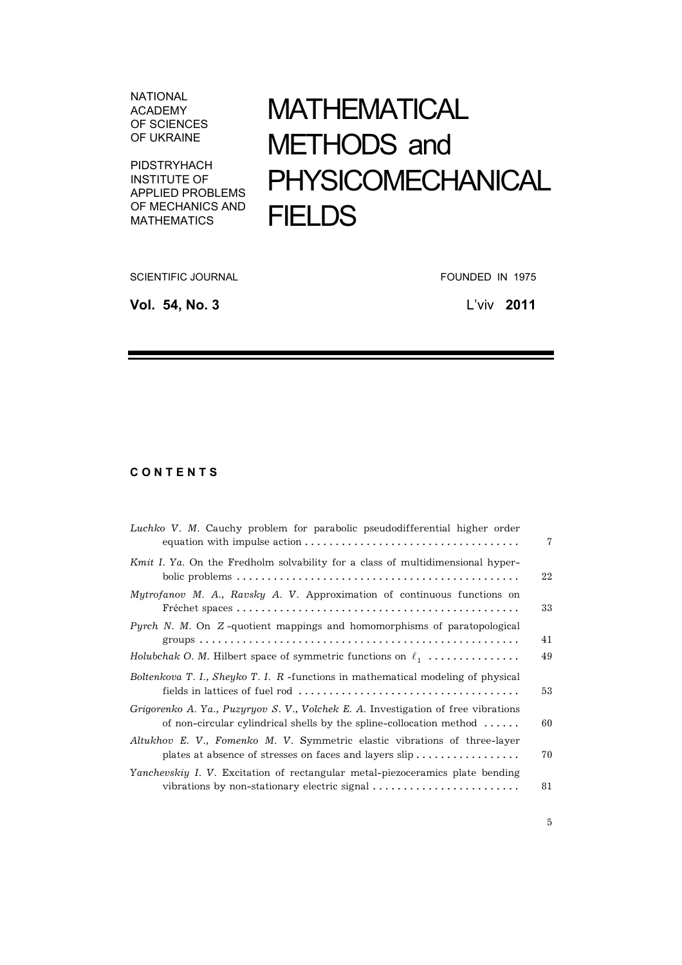**NATIONAL ACADEMY** OF SCIENCES OF UKRAINE

PIDSTRYHACH **INSTITUTE OF** APPLIED PROBLEMS OF MECHANICS AND **MATHEMATICS** 

## **MATHEMATICAL** METHODS and PHYSICOMECHANICAL **FIELDS**

**SCIENTIFIC JOURNAL** 

Vol. 54, No. 3

FOUNDED IN 1975

L'viv 2011

## CONTENTS

| Luchko V. M. Cauchy problem for parabolic pseudodifferential higher order                                                                                             | 7  |
|-----------------------------------------------------------------------------------------------------------------------------------------------------------------------|----|
| Kmit I. Ya. On the Fredholm solvability for a class of multidimensional hyper-                                                                                        | 22 |
| Mytrofanov M. A., Ravsky A. V. Approximation of continuous functions on                                                                                               | 33 |
| <i>Pyrch N. M.</i> On Z-quotient mappings and homomorphisms of paratopological                                                                                        | 41 |
| Holubchak O. M. Hilbert space of symmetric functions on $\ell_1$                                                                                                      | 49 |
| Boltenkova T. I., Sheyko T. I. R -functions in mathematical modeling of physical                                                                                      | 53 |
| Grigorenko A. Ya., Puzyryov S. V., Volchek E. A. Investigation of free vibrations<br>of non-circular cylindrical shells by the spline-collocation method $\dots\dots$ | 60 |
| Altukhov E. V., Fomenko M. V. Symmetric elastic vibrations of three-layer<br>plates at absence of stresses on faces and layers slip                                   | 70 |
| Yanchevskiy I. V. Excitation of rectangular metal-piezoceramics plate bending<br>vibrations by non-stationary electric signal                                         | 81 |

 $\overline{5}$